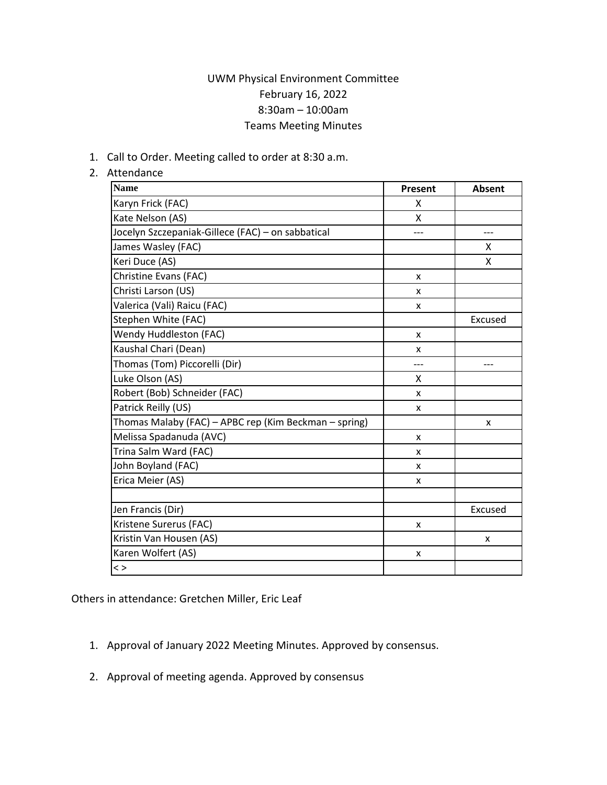## UWM Physical Environment Committee February 16, 2022 8:30am – 10:00am Teams Meeting Minutes

1. Call to Order. Meeting called to order at 8:30 a.m.

## 2. Attendance

| Name                                                  | Present | <b>Absent</b> |
|-------------------------------------------------------|---------|---------------|
| Karyn Frick (FAC)                                     | x       |               |
| Kate Nelson (AS)                                      | X       |               |
| Jocelyn Szczepaniak-Gillece (FAC) - on sabbatical     |         |               |
| James Wasley (FAC)                                    |         | x             |
| Keri Duce (AS)                                        |         | x             |
| Christine Evans (FAC)                                 | X       |               |
| Christi Larson (US)                                   | x       |               |
| Valerica (Vali) Raicu (FAC)                           | x       |               |
| Stephen White (FAC)                                   |         | Excused       |
| Wendy Huddleston (FAC)                                | x       |               |
| Kaushal Chari (Dean)                                  | x       |               |
| Thomas (Tom) Piccorelli (Dir)                         | ---     | ---           |
| Luke Olson (AS)                                       | x       |               |
| Robert (Bob) Schneider (FAC)                          | X       |               |
| Patrick Reilly (US)                                   | x       |               |
| Thomas Malaby (FAC) - APBC rep (Kim Beckman - spring) |         | x             |
| Melissa Spadanuda (AVC)                               | x       |               |
| Trina Salm Ward (FAC)                                 | X       |               |
| John Boyland (FAC)                                    | X       |               |
| Erica Meier (AS)                                      | x       |               |
|                                                       |         |               |
| Jen Francis (Dir)                                     |         | Excused       |
| Kristene Surerus (FAC)                                | x       |               |
| Kristin Van Housen (AS)                               |         | X             |
| Karen Wolfert (AS)                                    | x       |               |
| $\lt$ >                                               |         |               |

Others in attendance: Gretchen Miller, Eric Leaf

- 1. Approval of January 2022 Meeting Minutes. Approved by consensus.
- 2. Approval of meeting agenda. Approved by consensus